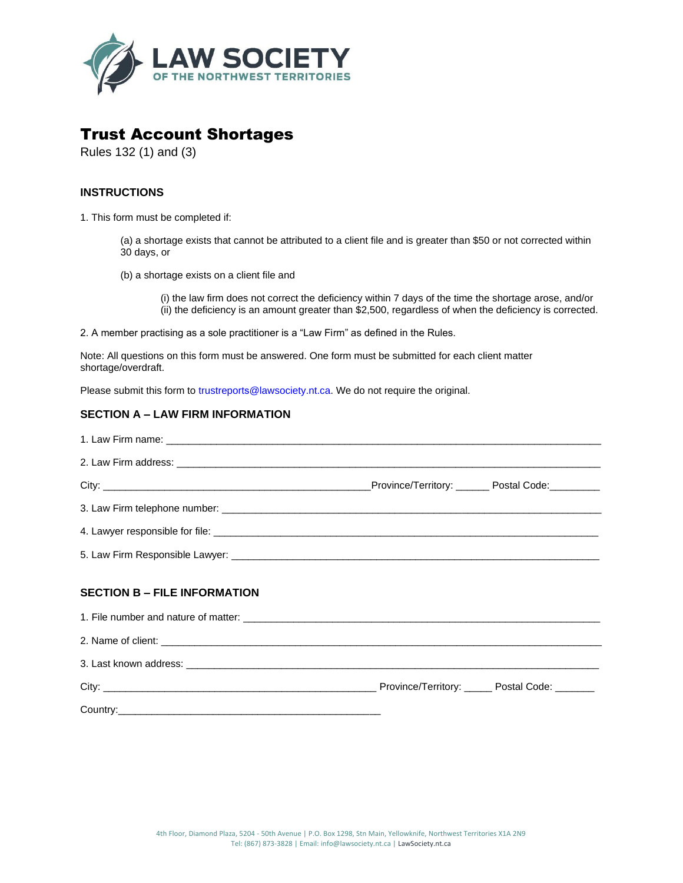

# Trust Account Shortages

Rules 132 (1) and (3)

### **INSTRUCTIONS**

1. This form must be completed if:

(a) a shortage exists that cannot be attributed to a client file and is greater than \$50 or not corrected within 30 days, or

(b) a shortage exists on a client file and

(i) the law firm does not correct the deficiency within 7 days of the time the shortage arose, and/or (ii) the deficiency is an amount greater than \$2,500, regardless of when the deficiency is corrected.

2. A member practising as a sole practitioner is a "Law Firm" as defined in the Rules.

Note: All questions on this form must be answered. One form must be submitted for each client matter shortage/overdraft.

Please submit this form to trustreports@lawsociety.nt.ca. We do not require the original.

#### **SECTION A – LAW FIRM INFORMATION**

| <b>SECTION B - FILE INFORMATION</b> |  |
|-------------------------------------|--|
|                                     |  |
|                                     |  |
|                                     |  |
|                                     |  |
|                                     |  |